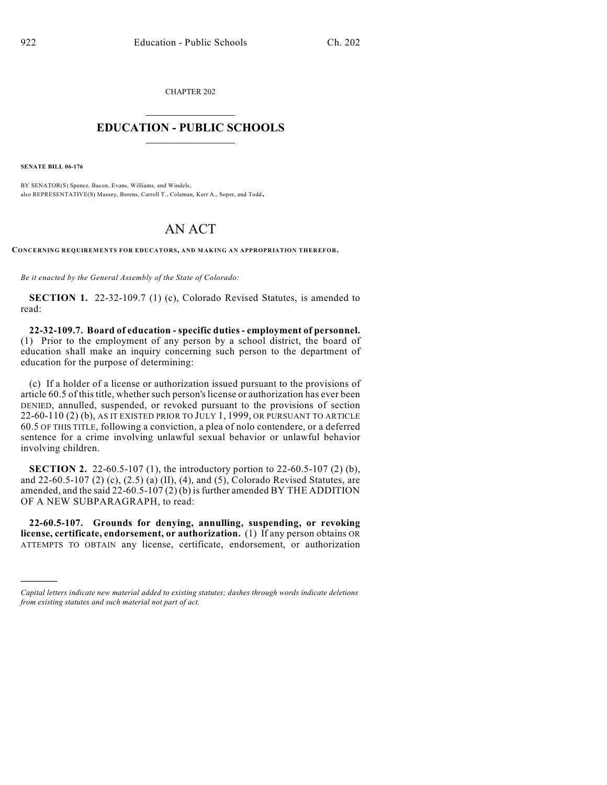CHAPTER 202  $\overline{\phantom{a}}$  . The set of the set of the set of the set of the set of the set of the set of the set of the set of the set of the set of the set of the set of the set of the set of the set of the set of the set of the set o

## **EDUCATION - PUBLIC SCHOOLS**  $\_$   $\_$   $\_$   $\_$   $\_$   $\_$   $\_$   $\_$   $\_$

**SENATE BILL 06-176**

)))))

BY SENATOR(S) Spence, Bacon, Evans, Williams, and Windels; also REPRESENTATIVE(S) Massey, Berens, Carroll T., Coleman, Kerr A., Soper, and Todd.

## AN ACT

**CONCERNING REQUIREMENTS FOR EDUCATORS, AND MAKING AN APPROPRIATION THEREFOR.**

*Be it enacted by the General Assembly of the State of Colorado:*

**SECTION 1.** 22-32-109.7 (1) (c), Colorado Revised Statutes, is amended to read:

**22-32-109.7. Board of education - specific duties - employment of personnel.** (1) Prior to the employment of any person by a school district, the board of education shall make an inquiry concerning such person to the department of education for the purpose of determining:

(c) If a holder of a license or authorization issued pursuant to the provisions of article 60.5 of this title, whether such person's license or authorization has ever been DENIED, annulled, suspended, or revoked pursuant to the provisions of section 22-60-110 (2) (b), AS IT EXISTED PRIOR TO JULY 1, 1999, OR PURSUANT TO ARTICLE 60.5 OF THIS TITLE, following a conviction, a plea of nolo contendere, or a deferred sentence for a crime involving unlawful sexual behavior or unlawful behavior involving children.

**SECTION 2.** 22-60.5-107 (1), the introductory portion to 22-60.5-107 (2) (b), and 22-60.5-107 (2) (c), (2.5) (a) (II), (4), and (5), Colorado Revised Statutes, are amended, and the said 22-60.5-107 (2) (b) is further amended BY THE ADDITION OF A NEW SUBPARAGRAPH, to read:

**22-60.5-107. Grounds for denying, annulling, suspending, or revoking license, certificate, endorsement, or authorization.** (1) If any person obtains OR ATTEMPTS TO OBTAIN any license, certificate, endorsement, or authorization

*Capital letters indicate new material added to existing statutes; dashes through words indicate deletions from existing statutes and such material not part of act.*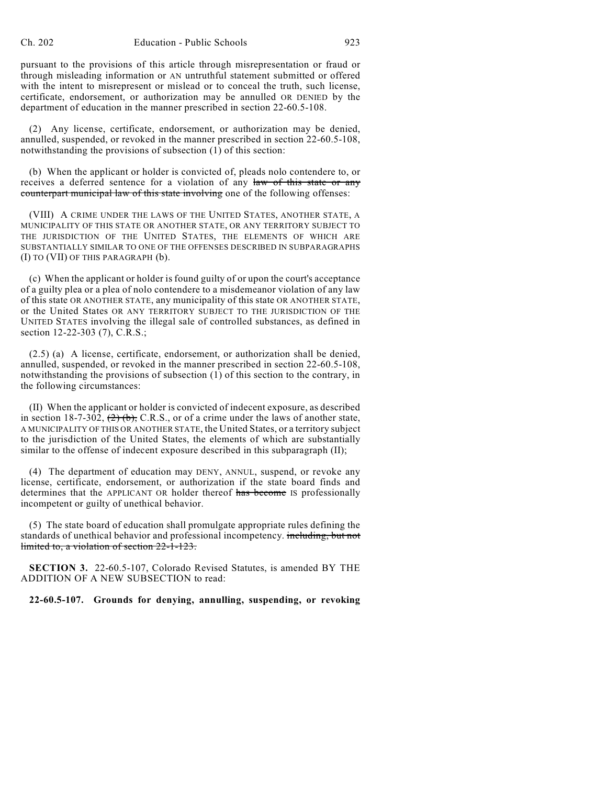pursuant to the provisions of this article through misrepresentation or fraud or through misleading information or AN untruthful statement submitted or offered with the intent to misrepresent or mislead or to conceal the truth, such license, certificate, endorsement, or authorization may be annulled OR DENIED by the department of education in the manner prescribed in section 22-60.5-108.

(2) Any license, certificate, endorsement, or authorization may be denied, annulled, suspended, or revoked in the manner prescribed in section 22-60.5-108, notwithstanding the provisions of subsection (1) of this section:

(b) When the applicant or holder is convicted of, pleads nolo contendere to, or receives a deferred sentence for a violation of any law of this state or any counterpart municipal law of this state involving one of the following offenses:

(VIII) A CRIME UNDER THE LAWS OF THE UNITED STATES, ANOTHER STATE, A MUNICIPALITY OF THIS STATE OR ANOTHER STATE, OR ANY TERRITORY SUBJECT TO THE JURISDICTION OF THE UNITED STATES, THE ELEMENTS OF WHICH ARE SUBSTANTIALLY SIMILAR TO ONE OF THE OFFENSES DESCRIBED IN SUBPARAGRAPHS (I) TO (VII) OF THIS PARAGRAPH (b).

(c) When the applicant or holder is found guilty of or upon the court's acceptance of a guilty plea or a plea of nolo contendere to a misdemeanor violation of any law of this state OR ANOTHER STATE, any municipality of this state OR ANOTHER STATE, or the United States OR ANY TERRITORY SUBJECT TO THE JURISDICTION OF THE UNITED STATES involving the illegal sale of controlled substances, as defined in section 12-22-303 (7), C.R.S.;

(2.5) (a) A license, certificate, endorsement, or authorization shall be denied, annulled, suspended, or revoked in the manner prescribed in section 22-60.5-108, notwithstanding the provisions of subsection (1) of this section to the contrary, in the following circumstances:

(II) When the applicant or holder is convicted of indecent exposure, as described in section 18-7-302,  $(2)$  (b), C.R.S., or of a crime under the laws of another state, A MUNICIPALITY OF THIS OR ANOTHER STATE, the United States, or a territory subject to the jurisdiction of the United States, the elements of which are substantially similar to the offense of indecent exposure described in this subparagraph (II);

(4) The department of education may DENY, ANNUL, suspend, or revoke any license, certificate, endorsement, or authorization if the state board finds and determines that the APPLICANT OR holder thereof has become IS professionally incompetent or guilty of unethical behavior.

(5) The state board of education shall promulgate appropriate rules defining the standards of unethical behavior and professional incompetency. including, but not limited to, a violation of section 22-1-123.

**SECTION 3.** 22-60.5-107, Colorado Revised Statutes, is amended BY THE ADDITION OF A NEW SUBSECTION to read:

**22-60.5-107. Grounds for denying, annulling, suspending, or revoking**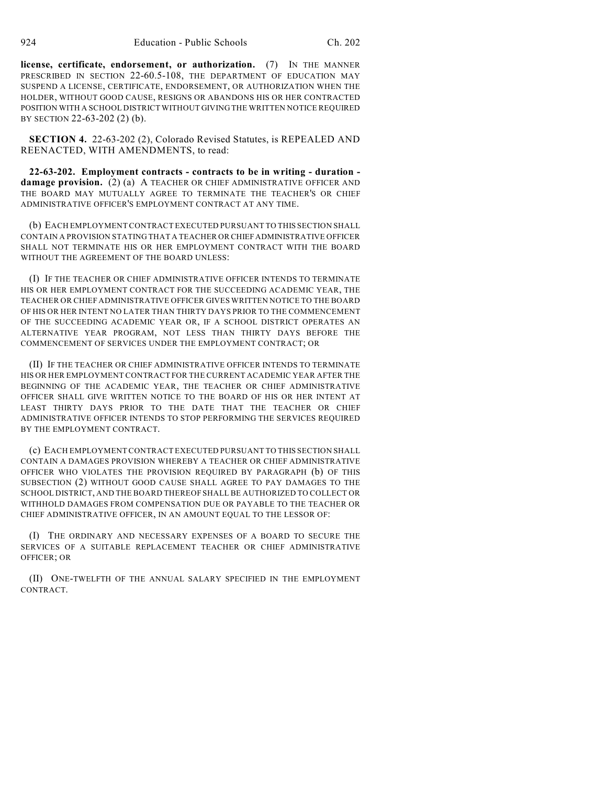**license, certificate, endorsement, or authorization.** (7) IN THE MANNER PRESCRIBED IN SECTION 22-60.5-108, THE DEPARTMENT OF EDUCATION MAY SUSPEND A LICENSE, CERTIFICATE, ENDORSEMENT, OR AUTHORIZATION WHEN THE HOLDER, WITHOUT GOOD CAUSE, RESIGNS OR ABANDONS HIS OR HER CONTRACTED POSITION WITH A SCHOOL DISTRICT WITHOUT GIVING THE WRITTEN NOTICE REQUIRED BY SECTION 22-63-202 (2) (b).

**SECTION 4.** 22-63-202 (2), Colorado Revised Statutes, is REPEALED AND REENACTED, WITH AMENDMENTS, to read:

**22-63-202. Employment contracts - contracts to be in writing - duration damage provision.** (2) (a) A TEACHER OR CHIEF ADMINISTRATIVE OFFICER AND THE BOARD MAY MUTUALLY AGREE TO TERMINATE THE TEACHER'S OR CHIEF ADMINISTRATIVE OFFICER'S EMPLOYMENT CONTRACT AT ANY TIME.

(b) EACH EMPLOYMENT CONTRACT EXECUTED PURSUANT TO THIS SECTION SHALL CONTAIN A PROVISION STATING THAT A TEACHER OR CHIEF ADMINISTRATIVE OFFICER SHALL NOT TERMINATE HIS OR HER EMPLOYMENT CONTRACT WITH THE BOARD WITHOUT THE AGREEMENT OF THE BOARD UNLESS:

(I) IF THE TEACHER OR CHIEF ADMINISTRATIVE OFFICER INTENDS TO TERMINATE HIS OR HER EMPLOYMENT CONTRACT FOR THE SUCCEEDING ACADEMIC YEAR, THE TEACHER OR CHIEF ADMINISTRATIVE OFFICER GIVES WRITTEN NOTICE TO THE BOARD OF HIS OR HER INTENT NO LATER THAN THIRTY DAYS PRIOR TO THE COMMENCEMENT OF THE SUCCEEDING ACADEMIC YEAR OR, IF A SCHOOL DISTRICT OPERATES AN ALTERNATIVE YEAR PROGRAM, NOT LESS THAN THIRTY DAYS BEFORE THE COMMENCEMENT OF SERVICES UNDER THE EMPLOYMENT CONTRACT; OR

(II) IF THE TEACHER OR CHIEF ADMINISTRATIVE OFFICER INTENDS TO TERMINATE HIS OR HER EMPLOYMENT CONTRACT FOR THE CURRENT ACADEMIC YEAR AFTER THE BEGINNING OF THE ACADEMIC YEAR, THE TEACHER OR CHIEF ADMINISTRATIVE OFFICER SHALL GIVE WRITTEN NOTICE TO THE BOARD OF HIS OR HER INTENT AT LEAST THIRTY DAYS PRIOR TO THE DATE THAT THE TEACHER OR CHIEF ADMINISTRATIVE OFFICER INTENDS TO STOP PERFORMING THE SERVICES REQUIRED BY THE EMPLOYMENT CONTRACT.

(c) EACH EMPLOYMENT CONTRACT EXECUTED PURSUANT TO THIS SECTION SHALL CONTAIN A DAMAGES PROVISION WHEREBY A TEACHER OR CHIEF ADMINISTRATIVE OFFICER WHO VIOLATES THE PROVISION REQUIRED BY PARAGRAPH (b) OF THIS SUBSECTION (2) WITHOUT GOOD CAUSE SHALL AGREE TO PAY DAMAGES TO THE SCHOOL DISTRICT, AND THE BOARD THEREOF SHALL BE AUTHORIZED TO COLLECT OR WITHHOLD DAMAGES FROM COMPENSATION DUE OR PAYABLE TO THE TEACHER OR CHIEF ADMINISTRATIVE OFFICER, IN AN AMOUNT EQUAL TO THE LESSOR OF:

(I) THE ORDINARY AND NECESSARY EXPENSES OF A BOARD TO SECURE THE SERVICES OF A SUITABLE REPLACEMENT TEACHER OR CHIEF ADMINISTRATIVE OFFICER; OR

(II) ONE-TWELFTH OF THE ANNUAL SALARY SPECIFIED IN THE EMPLOYMENT CONTRACT.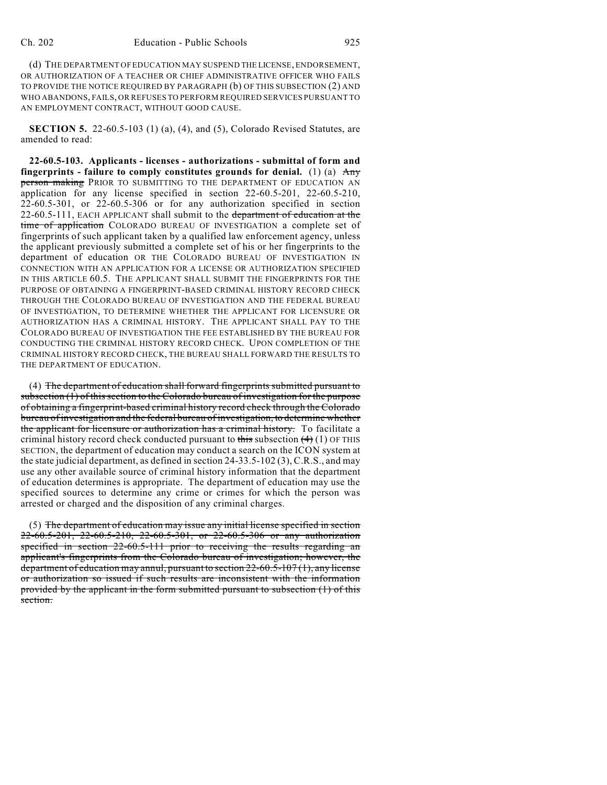(d) THE DEPARTMENT OF EDUCATION MAY SUSPEND THE LICENSE, ENDORSEMENT, OR AUTHORIZATION OF A TEACHER OR CHIEF ADMINISTRATIVE OFFICER WHO FAILS TO PROVIDE THE NOTICE REQUIRED BY PARAGRAPH (b) OF THIS SUBSECTION (2) AND WHO ABANDONS, FAILS, OR REFUSES TO PERFORM REQUIRED SERVICES PURSUANT TO AN EMPLOYMENT CONTRACT, WITHOUT GOOD CAUSE.

**SECTION 5.** 22-60.5-103 (1) (a), (4), and (5), Colorado Revised Statutes, are amended to read:

**22-60.5-103. Applicants - licenses - authorizations - submittal of form and fingerprints - failure to comply constitutes grounds for denial.** (1) (a) Any person making PRIOR TO SUBMITTING TO THE DEPARTMENT OF EDUCATION AN application for any license specified in section 22-60.5-201, 22-60.5-210, 22-60.5-301, or 22-60.5-306 or for any authorization specified in section 22-60.5-111, EACH APPLICANT shall submit to the department of education at the time of application COLORADO BUREAU OF INVESTIGATION a complete set of fingerprints of such applicant taken by a qualified law enforcement agency, unless the applicant previously submitted a complete set of his or her fingerprints to the department of education OR THE COLORADO BUREAU OF INVESTIGATION IN CONNECTION WITH AN APPLICATION FOR A LICENSE OR AUTHORIZATION SPECIFIED IN THIS ARTICLE 60.5. THE APPLICANT SHALL SUBMIT THE FINGERPRINTS FOR THE PURPOSE OF OBTAINING A FINGERPRINT-BASED CRIMINAL HISTORY RECORD CHECK THROUGH THE COLORADO BUREAU OF INVESTIGATION AND THE FEDERAL BUREAU OF INVESTIGATION, TO DETERMINE WHETHER THE APPLICANT FOR LICENSURE OR AUTHORIZATION HAS A CRIMINAL HISTORY. THE APPLICANT SHALL PAY TO THE COLORADO BUREAU OF INVESTIGATION THE FEE ESTABLISHED BY THE BUREAU FOR CONDUCTING THE CRIMINAL HISTORY RECORD CHECK. UPON COMPLETION OF THE CRIMINAL HISTORY RECORD CHECK, THE BUREAU SHALL FORWARD THE RESULTS TO THE DEPARTMENT OF EDUCATION.

(4) The department of education shall forward fingerprints submitted pursuant to subsection (1) of this section to the Colorado bureau of investigation for the purpose of obtaining a fingerprint-based criminal history record check through the Colorado bureau of investigation and the federal bureau of investigation, to determine whether the applicant for licensure or authorization has a criminal history. To facilitate a criminal history record check conducted pursuant to this subsection  $(4)$  (1) OF THIS SECTION, the department of education may conduct a search on the ICON system at the state judicial department, as defined in section 24-33.5-102 (3), C.R.S., and may use any other available source of criminal history information that the department of education determines is appropriate. The department of education may use the specified sources to determine any crime or crimes for which the person was arrested or charged and the disposition of any criminal charges.

(5) The department of education may issue any initial license specified in section 22-60.5-201, 22-60.5-210, 22-60.5-301, or 22-60.5-306 or any authorization specified in section 22-60.5-111 prior to receiving the results regarding an applicant's fingerprints from the Colorado bureau of investigation; however, the department of education may annul, pursuant to section 22-60.5-107 (1), any license or authorization so issued if such results are inconsistent with the information provided by the applicant in the form submitted pursuant to subsection (1) of this section.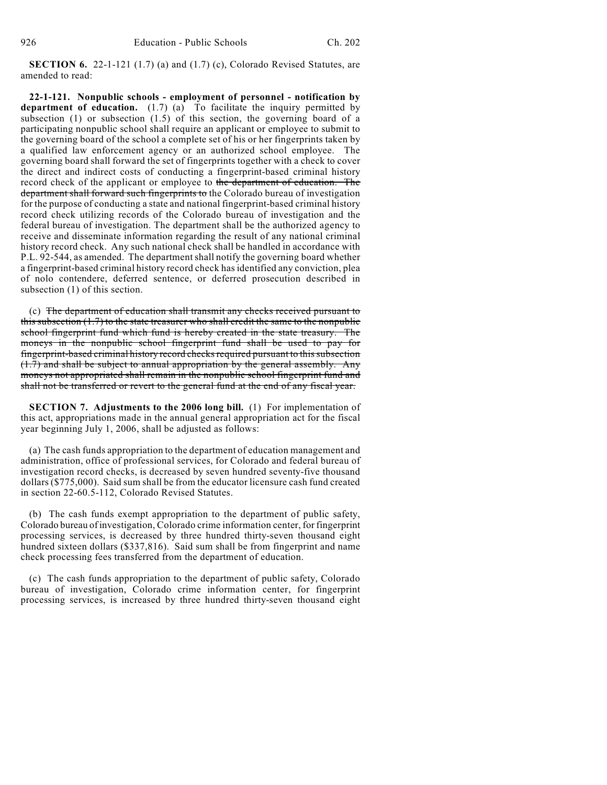**SECTION 6.** 22-1-121 (1.7) (a) and (1.7) (c), Colorado Revised Statutes, are amended to read:

**22-1-121. Nonpublic schools - employment of personnel - notification by department of education.** (1.7) (a) To facilitate the inquiry permitted by subsection (1) or subsection (1.5) of this section, the governing board of a participating nonpublic school shall require an applicant or employee to submit to the governing board of the school a complete set of his or her fingerprints taken by a qualified law enforcement agency or an authorized school employee. The governing board shall forward the set of fingerprints together with a check to cover the direct and indirect costs of conducting a fingerprint-based criminal history record check of the applicant or employee to the department of education. The department shall forward such fingerprints to the Colorado bureau of investigation for the purpose of conducting a state and national fingerprint-based criminal history record check utilizing records of the Colorado bureau of investigation and the federal bureau of investigation. The department shall be the authorized agency to receive and disseminate information regarding the result of any national criminal history record check. Any such national check shall be handled in accordance with P.L. 92-544, as amended. The department shall notify the governing board whether a fingerprint-based criminal history record check has identified any conviction, plea of nolo contendere, deferred sentence, or deferred prosecution described in subsection (1) of this section.

(c) The department of education shall transmit any checks received pursuant to this subsection  $(1.7)$  to the state treasurer who shall credit the same to the nonpublic school fingerprint fund which fund is hereby created in the state treasury. The moneys in the nonpublic school fingerprint fund shall be used to pay for fingerprint-based criminal history record checks required pursuant to this subsection (1.7) and shall be subject to annual appropriation by the general assembly. Any moneys not appropriated shall remain in the nonpublic school fingerprint fund and shall not be transferred or revert to the general fund at the end of any fiscal year.

**SECTION 7. Adjustments to the 2006 long bill.** (1) For implementation of this act, appropriations made in the annual general appropriation act for the fiscal year beginning July 1, 2006, shall be adjusted as follows:

(a) The cash funds appropriation to the department of education management and administration, office of professional services, for Colorado and federal bureau of investigation record checks, is decreased by seven hundred seventy-five thousand dollars (\$775,000). Said sum shall be from the educator licensure cash fund created in section 22-60.5-112, Colorado Revised Statutes.

(b) The cash funds exempt appropriation to the department of public safety, Colorado bureau of investigation, Colorado crime information center, for fingerprint processing services, is decreased by three hundred thirty-seven thousand eight hundred sixteen dollars (\$337,816). Said sum shall be from fingerprint and name check processing fees transferred from the department of education.

(c) The cash funds appropriation to the department of public safety, Colorado bureau of investigation, Colorado crime information center, for fingerprint processing services, is increased by three hundred thirty-seven thousand eight